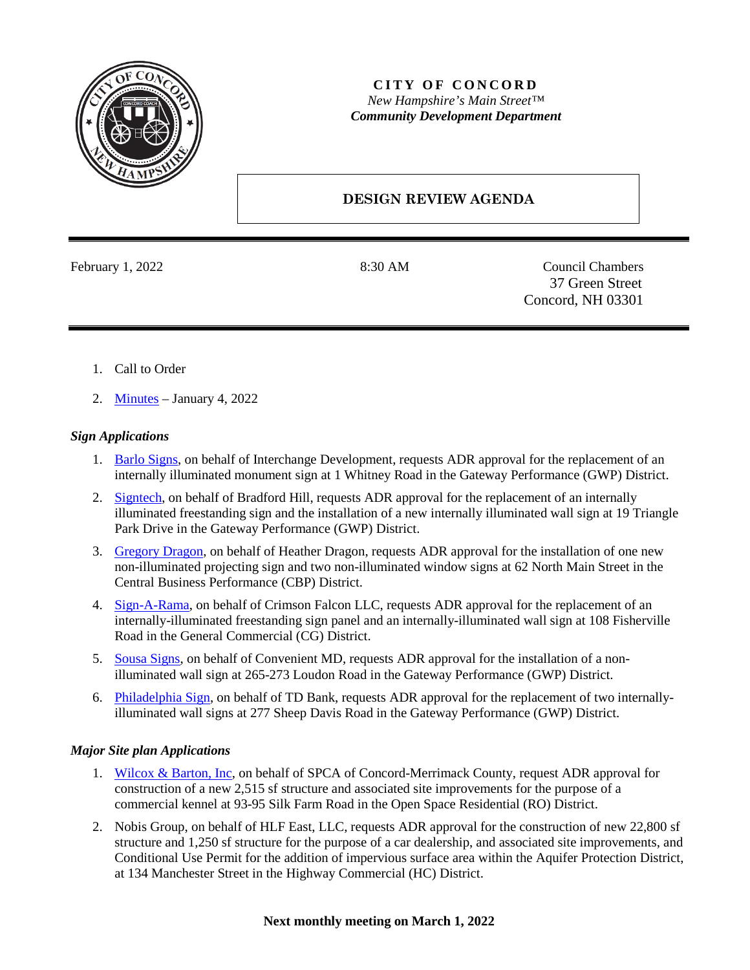

## **CITY OF CONCORD** *New Hampshire's Main Street™ Community Development Department*

## **DESIGN REVIEW AGENDA**

February 1, 2022 8:30 AM Council Chambers 37 Green Street Concord, NH 03301

- 1. Call to Order
- 2. [Minutes](https://www.concordnh.gov/DocumentCenter/View/18363/01042022) January 4, 2022

## *Sign Applications*

- 1. Barlo [Signs,](https://www.concordnh.gov/DocumentCenter/View/18356/1-Whitney-Rd---Monument-sign) on behalf of Interchange Development, requests ADR approval for the replacement of an internally illuminated monument sign at 1 Whitney Road in the Gateway Performance (GWP) District.
- 2. [Signtech,](https://www.concordnh.gov/DocumentCenter/View/18357/19-Triangle-Park-Dr---Trek---2-signs-for-ADR) on behalf of Bradford Hill, requests ADR approval for the replacement of an internally illuminated freestanding sign and the installation of a new internally illuminated wall sign at 19 Triangle Park Drive in the Gateway Performance (GWP) District.
- 3. [Gregory Dragon,](https://www.concordnh.gov/DocumentCenter/View/18359/62-N-Main---Parlor-Salon---3-Signs-for-ADR) on behalf of Heather Dragon, requests ADR approval for the installation of one new non-illuminated projecting sign and two non-illuminated window signs at 62 North Main Street in the Central Business Performance (CBP) District.
- 4. [Sign-A-Rama,](https://www.concordnh.gov/DocumentCenter/View/18360/108-Fisherville-Rd---Crimson-Tattoo---2-replacement-signs) on behalf of Crimson Falcon LLC, requests ADR approval for the replacement of an internally-illuminated freestanding sign panel and an internally-illuminated wall sign at 108 Fisherville Road in the General Commercial (CG) District.
- 5. [Sousa Signs,](https://www.concordnh.gov/DocumentCenter/View/18361/273-Loudon-Rd---Convenient-MD---Building-Sign) on behalf of Convenient MD, requests ADR approval for the installation of a nonilluminated wall sign at 265-273 Loudon Road in the Gateway Performance (GWP) District.
- 6. [Philadelphia Sign,](https://www.concordnh.gov/DocumentCenter/View/18355/277-Sheep-Davis-Rd---TD-Bank---2-replacement-building-signs) on behalf of TD Bank, requests ADR approval for the replacement of two internallyilluminated wall signs at 277 Sheep Davis Road in the Gateway Performance (GWP) District.

## *Major Site plan Applications*

- 1. [Wilcox & Barton, Inc,](https://www.concordnh.gov/DocumentCenter/View/18362/Plans) on behalf of SPCA of Concord-Merrimack County, request ADR approval for construction of a new 2,515 sf structure and associated site improvements for the purpose of a commercial kennel at 93-95 Silk Farm Road in the Open Space Residential (RO) District.
- 2. Nobis Group, on behalf of HLF East, LLC, requests ADR approval for the construction of new 22,800 sf structure and 1,250 sf structure for the purpose of a car dealership, and associated site improvements, and Conditional Use Permit for the addition of impervious surface area within the Aquifer Protection District, at 134 Manchester Street in the Highway Commercial (HC) District.